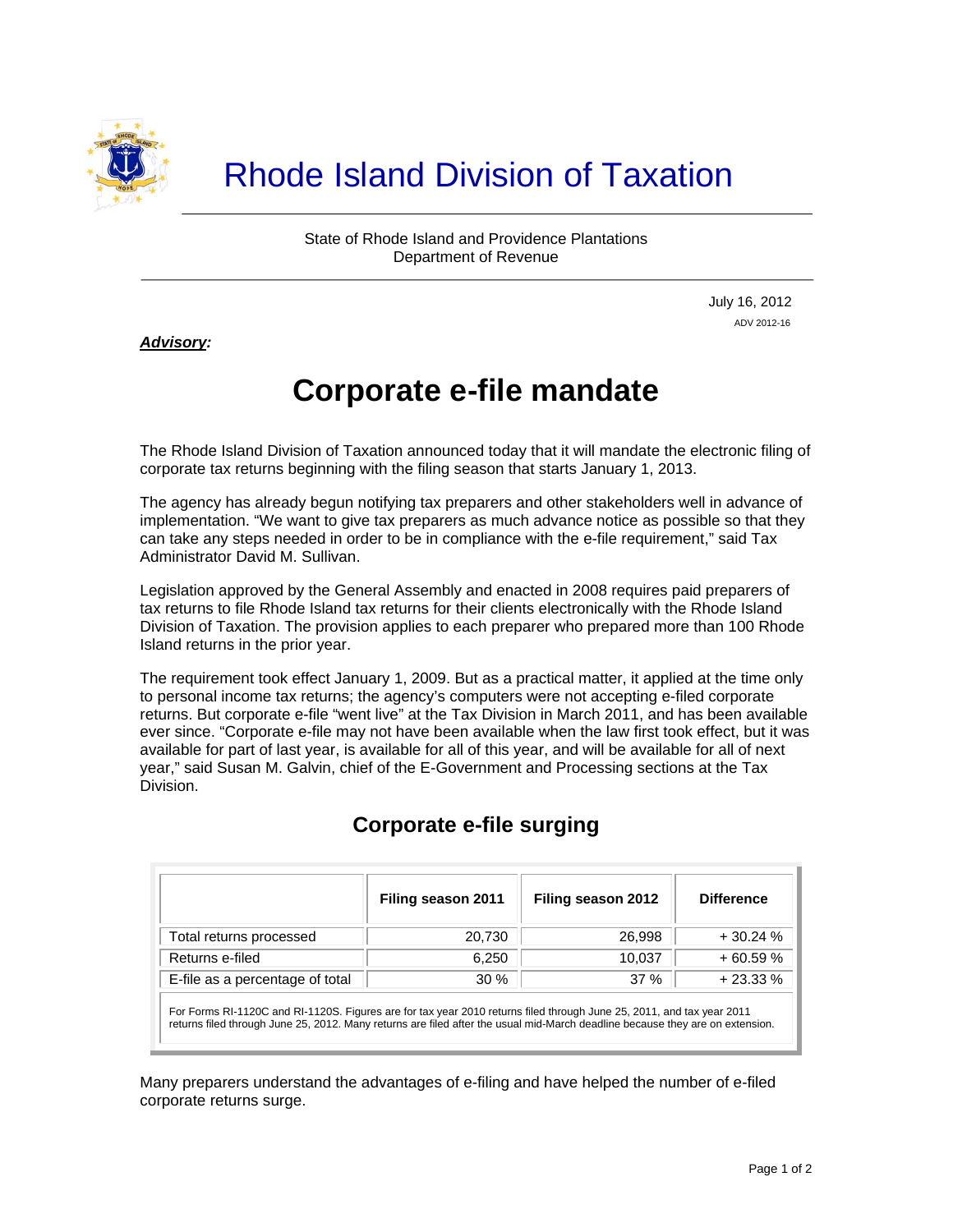

State of Rhode Island and Providence Plantations Department of Revenue

> July 16, 2012 ADV 2012-16

## *Advisory:*

j

## **Corporate e-file mandate**

The Rhode Island Division of Taxation announced today that it will mandate the electronic filing of corporate tax returns beginning with the filing season that starts January 1, 2013.

The agency has already begun notifying tax preparers and other stakeholders well in advance of implementation. "We want to give tax preparers as much advance notice as possible so that they can take any steps needed in order to be in compliance with the e-file requirement," said Tax Administrator David M. Sullivan.

Legislation approved by the General Assembly and enacted in 2008 requires paid preparers of tax returns to file Rhode Island tax returns for their clients electronically with the Rhode Island Division of Taxation. The provision applies to each preparer who prepared more than 100 Rhode Island returns in the prior year.

The requirement took effect January 1, 2009. But as a practical matter, it applied at the time only to personal income tax returns; the agency's computers were not accepting e-filed corporate returns. But corporate e-file "went live" at the Tax Division in March 2011, and has been available ever since. "Corporate e-file may not have been available when the law first took effect, but it was available for part of last year, is available for all of this year, and will be available for all of next year," said Susan M. Galvin, chief of the E-Government and Processing sections at the Tax Division.

|                                 | Filing season 2011 | Filing season 2012 | <b>Difference</b> |
|---------------------------------|--------------------|--------------------|-------------------|
| Total returns processed         | 20.730             | 26.998             | $+30.24%$         |
| Returns e-filed                 | 6.250              | 10.037             | $+60.59%$         |
| E-file as a percentage of total | $30\%$             | 37%                | $+23.33%$         |

## **Corporate e-file surging**

For Forms RI-1120C and RI-1120S. Figures are for tax year 2010 returns filed through June 25, 2011, and tax year 2011 returns filed through June 25, 2012. Many returns are filed after the usual mid-March deadline because they are on extension.

Many preparers understand the advantages of e-filing and have helped the number of e-filed corporate returns surge.